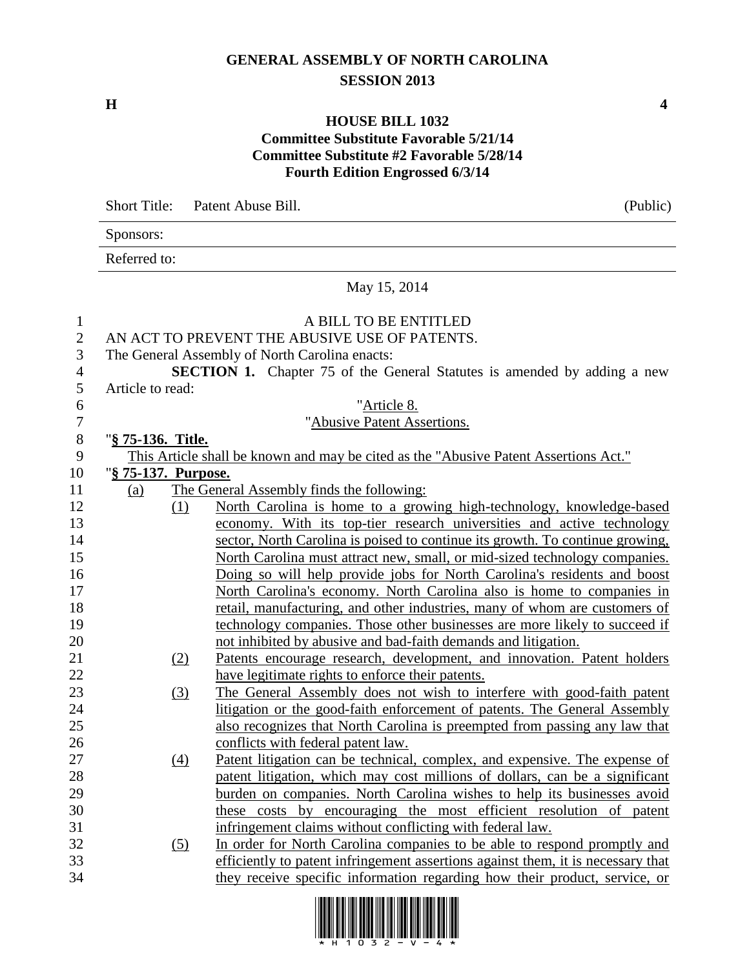## **GENERAL ASSEMBLY OF NORTH CAROLINA SESSION 2013**

**H 4**

## **HOUSE BILL 1032 Committee Substitute Favorable 5/21/14 Committee Substitute #2 Favorable 5/28/14 Fourth Edition Engrossed 6/3/14**

|                | Short Title: Patent Abuse Bill. |                                                                                      | (Public) |
|----------------|---------------------------------|--------------------------------------------------------------------------------------|----------|
|                | Sponsors:                       |                                                                                      |          |
|                | Referred to:                    |                                                                                      |          |
|                |                                 | May 15, 2014                                                                         |          |
| $\mathbf{1}$   |                                 | A BILL TO BE ENTITLED                                                                |          |
| $\mathbf{2}$   |                                 | AN ACT TO PREVENT THE ABUSIVE USE OF PATENTS.                                        |          |
| 3              |                                 | The General Assembly of North Carolina enacts:                                       |          |
| $\overline{4}$ |                                 | SECTION 1. Chapter 75 of the General Statutes is amended by adding a new             |          |
| 5              | Article to read:                |                                                                                      |          |
| 6              |                                 | "Article 8.                                                                          |          |
| $\tau$         |                                 | "Abusive Patent Assertions.                                                          |          |
| $8\phantom{1}$ | " <u>§ 75-136. Title.</u>       |                                                                                      |          |
| 9              |                                 | This Article shall be known and may be cited as the "Abusive Patent Assertions Act." |          |
| 10             | "§ 75-137. Purpose.             |                                                                                      |          |
| 11             | (a)                             | The General Assembly finds the following:                                            |          |
| 12             | (1)                             | North Carolina is home to a growing high-technology, knowledge-based                 |          |
| 13             |                                 | economy. With its top-tier research universities and active technology               |          |
| 14             |                                 | sector, North Carolina is poised to continue its growth. To continue growing,        |          |
| 15             |                                 | North Carolina must attract new, small, or mid-sized technology companies.           |          |
| 16             |                                 | Doing so will help provide jobs for North Carolina's residents and boost             |          |
| 17             |                                 | North Carolina's economy. North Carolina also is home to companies in                |          |
| 18             |                                 | retail, manufacturing, and other industries, many of whom are customers of           |          |
| 19             |                                 | technology companies. Those other businesses are more likely to succeed if           |          |
| 20             |                                 | not inhibited by abusive and bad-faith demands and litigation.                       |          |
| 21             | (2)                             | Patents encourage research, development, and innovation. Patent holders              |          |
| 22             |                                 | have legitimate rights to enforce their patents.                                     |          |
| 23             | (3)                             | The General Assembly does not wish to interfere with good-faith patent               |          |
| 24             |                                 | litigation or the good-faith enforcement of patents. The General Assembly            |          |
| 25             |                                 | also recognizes that North Carolina is preempted from passing any law that           |          |
| 26             |                                 | conflicts with federal patent law.                                                   |          |
| 27             | $\left(4\right)$                | Patent litigation can be technical, complex, and expensive. The expense of           |          |
| 28             |                                 | patent litigation, which may cost millions of dollars, can be a significant          |          |
| 29             |                                 | burden on companies. North Carolina wishes to help its businesses avoid              |          |
| 30             |                                 | these costs by encouraging the most efficient resolution of patent                   |          |
| 31             |                                 | infringement claims without conflicting with federal law.                            |          |
| 32             | (5)                             | In order for North Carolina companies to be able to respond promptly and             |          |
| 33             |                                 | efficiently to patent infringement assertions against them, it is necessary that     |          |
| 34             |                                 | they receive specific information regarding how their product, service, or           |          |

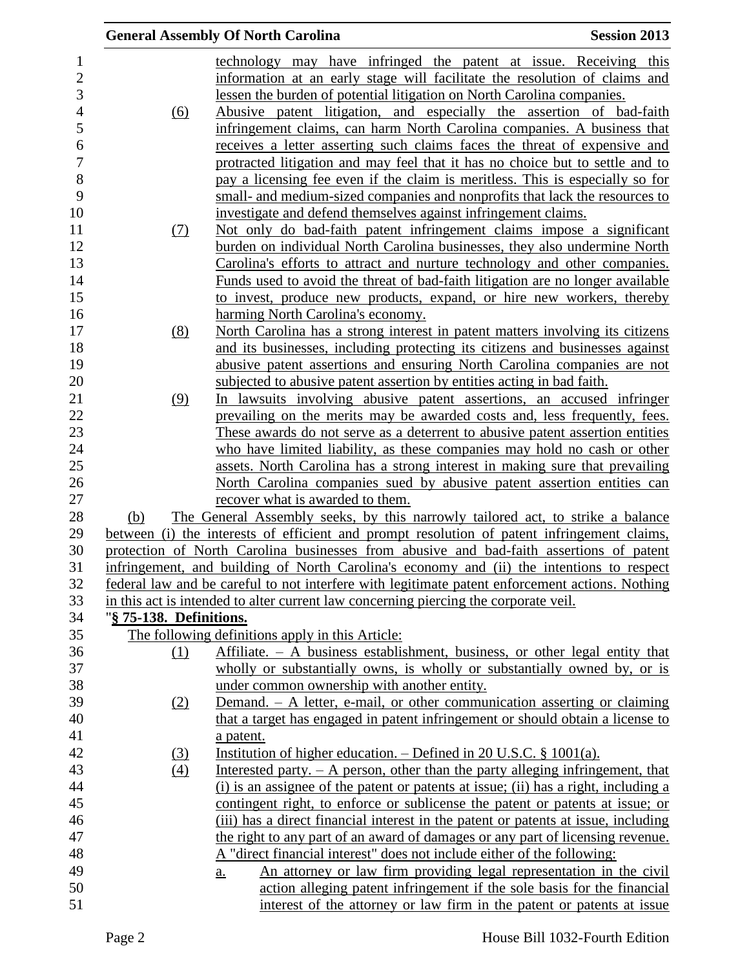|                         | <b>General Assembly Of North Carolina</b><br><b>Session 2013</b>                                                          |  |
|-------------------------|---------------------------------------------------------------------------------------------------------------------------|--|
|                         | technology may have infringed the patent at issue. Receiving this                                                         |  |
|                         | information at an early stage will facilitate the resolution of claims and                                                |  |
|                         | lessen the burden of potential litigation on North Carolina companies.                                                    |  |
| <u>(6)</u>              | Abusive patent litigation, and especially the assertion of bad-faith                                                      |  |
|                         | infringement claims, can harm North Carolina companies. A business that                                                   |  |
|                         | receives a letter asserting such claims faces the threat of expensive and                                                 |  |
|                         | protracted litigation and may feel that it has no choice but to settle and to                                             |  |
|                         | pay a licensing fee even if the claim is meritless. This is especially so for                                             |  |
|                         | small- and medium-sized companies and nonprofits that lack the resources to                                               |  |
|                         | investigate and defend themselves against infringement claims.                                                            |  |
| (7)                     | Not only do bad-faith patent infringement claims impose a significant                                                     |  |
|                         | burden on individual North Carolina businesses, they also undermine North                                                 |  |
|                         | Carolina's efforts to attract and nurture technology and other companies.                                                 |  |
|                         | Funds used to avoid the threat of bad-faith litigation are no longer available                                            |  |
|                         | to invest, produce new products, expand, or hire new workers, thereby                                                     |  |
|                         | harming North Carolina's economy.                                                                                         |  |
| (8)                     | North Carolina has a strong interest in patent matters involving its citizens                                             |  |
|                         | and its businesses, including protecting its citizens and businesses against                                              |  |
|                         | abusive patent assertions and ensuring North Carolina companies are not                                                   |  |
|                         | subjected to abusive patent assertion by entities acting in bad faith.                                                    |  |
| (9)                     | In lawsuits involving abusive patent assertions, an accused infringer                                                     |  |
|                         | prevailing on the merits may be awarded costs and, less frequently, fees.                                                 |  |
|                         | These awards do not serve as a deterrent to abusive patent assertion entities                                             |  |
|                         | who have limited liability, as these companies may hold no cash or other                                                  |  |
|                         | assets. North Carolina has a strong interest in making sure that prevailing                                               |  |
|                         | North Carolina companies sued by abusive patent assertion entities can                                                    |  |
|                         | recover what is awarded to them.                                                                                          |  |
| (b)                     | The General Assembly seeks, by this narrowly tailored act, to strike a balance                                            |  |
|                         | between (i) the interests of efficient and prompt resolution of patent infringement claims,                               |  |
|                         | protection of North Carolina businesses from abusive and bad-faith assertions of patent                                   |  |
|                         | infringement, and building of North Carolina's economy and (ii) the intentions to respect                                 |  |
|                         | federal law and be careful to not interfere with legitimate patent enforcement actions. Nothing                           |  |
|                         | in this act is intended to alter current law concerning piercing the corporate veil.                                      |  |
| "§ 75-138. Definitions. |                                                                                                                           |  |
|                         | The following definitions apply in this Article:                                                                          |  |
| (1)                     | Affiliate. $- A$ business establishment, business, or other legal entity that                                             |  |
|                         | wholly or substantially owns, is wholly or substantially owned by, or is                                                  |  |
|                         | under common ownership with another entity.<br>Demand. $-$ A letter, e-mail, or other communication asserting or claiming |  |
| (2)                     | that a target has engaged in patent infringement or should obtain a license to                                            |  |
|                         | a patent.                                                                                                                 |  |
| (3)                     | Institution of higher education. $-$ Defined in 20 U.S.C. § 1001(a).                                                      |  |
| (4)                     | Interested party. $- A$ person, other than the party alleging infringement, that                                          |  |
|                         | (i) is an assignee of the patent or patents at issue; (ii) has a right, including a                                       |  |
|                         | contingent right, to enforce or sublicense the patent or patents at issue; or                                             |  |
|                         | (iii) has a direct financial interest in the patent or patents at issue, including                                        |  |
|                         | the right to any part of an award of damages or any part of licensing revenue.                                            |  |
|                         | A "direct financial interest" does not include either of the following:                                                   |  |
|                         | An attorney or law firm providing legal representation in the civil<br>a.                                                 |  |
|                         | action alleging patent infringement if the sole basis for the financial                                                   |  |
|                         | interest of the attorney or law firm in the patent or patents at issue                                                    |  |
|                         |                                                                                                                           |  |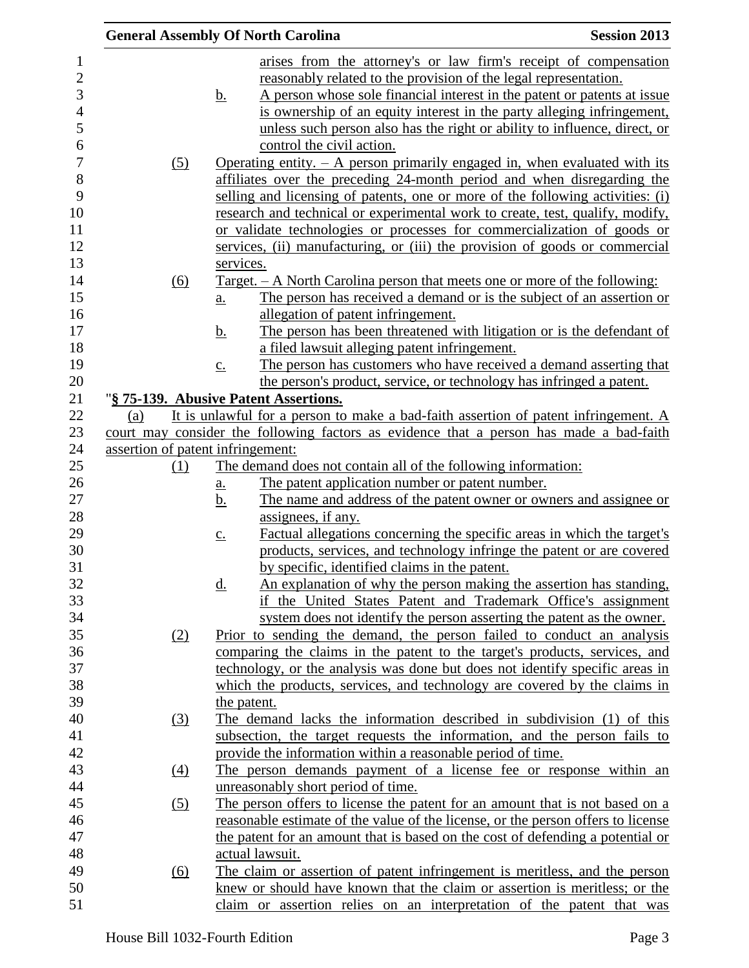|                                   |                            | <b>General Assembly Of North Carolina</b>                                                                            | <b>Session 2013</b> |
|-----------------------------------|----------------------------|----------------------------------------------------------------------------------------------------------------------|---------------------|
|                                   |                            | arises from the attorney's or law firm's receipt of compensation                                                     |                     |
|                                   |                            | reasonably related to the provision of the legal representation.                                                     |                     |
|                                   | <u>b.</u>                  | A person whose sole financial interest in the patent or patents at issue                                             |                     |
|                                   |                            | is ownership of an equity interest in the party alleging infringement,                                               |                     |
|                                   |                            | unless such person also has the right or ability to influence, direct, or                                            |                     |
|                                   |                            | control the civil action.                                                                                            |                     |
| (5)                               |                            | Operating entity. $-$ A person primarily engaged in, when evaluated with its                                         |                     |
|                                   |                            | affiliates over the preceding 24-month period and when disregarding the                                              |                     |
|                                   |                            | selling and licensing of patents, one or more of the following activities: (i)                                       |                     |
|                                   |                            | research and technical or experimental work to create, test, qualify, modify,                                        |                     |
|                                   |                            | or validate technologies or processes for commercialization of goods or                                              |                     |
|                                   |                            | services, (ii) manufacturing, or (iii) the provision of goods or commercial                                          |                     |
|                                   | services.                  |                                                                                                                      |                     |
| (6)                               |                            | <u>Target. – A North Carolina person that meets one or more of the following:</u>                                    |                     |
|                                   | $\underline{a}$ .          | The person has received a demand or is the subject of an assertion or                                                |                     |
|                                   |                            | allegation of patent infringement.                                                                                   |                     |
|                                   | <u>b.</u>                  | The person has been threatened with litigation or is the defendant of                                                |                     |
|                                   |                            | a filed lawsuit alleging patent infringement.                                                                        |                     |
|                                   | $\underline{c}$ .          | The person has customers who have received a demand asserting that                                                   |                     |
|                                   |                            | the person's product, service, or technology has infringed a patent.                                                 |                     |
|                                   |                            | "§ 75-139. Abusive Patent Assertions.                                                                                |                     |
| (a)                               |                            | It is unlawful for a person to make a bad-faith assertion of patent infringement. A                                  |                     |
|                                   |                            | court may consider the following factors as evidence that a person has made a bad-faith                              |                     |
| assertion of patent infringement: |                            |                                                                                                                      |                     |
| (1)                               |                            | The demand does not contain all of the following information:                                                        |                     |
|                                   | $\underline{\mathbf{a}}$ . | The patent application number or patent number.                                                                      |                     |
|                                   | <u>b.</u>                  | The name and address of the patent owner or owners and assignee or                                                   |                     |
|                                   |                            | assignees, if any.                                                                                                   |                     |
|                                   | $\underline{c}$ .          | Factual allegations concerning the specific areas in which the target's                                              |                     |
|                                   |                            | products, services, and technology infringe the patent or are covered                                                |                     |
|                                   |                            | by specific, identified claims in the patent.<br>An explanation of why the person making the assertion has standing, |                     |
|                                   | <u>d.</u>                  | if the United States Patent and Trademark Office's assignment                                                        |                     |
|                                   |                            | system does not identify the person asserting the patent as the owner.                                               |                     |
| (2)                               |                            | Prior to sending the demand, the person failed to conduct an analysis                                                |                     |
|                                   |                            | comparing the claims in the patent to the target's products, services, and                                           |                     |
|                                   |                            | technology, or the analysis was done but does not identify specific areas in                                         |                     |
|                                   |                            | which the products, services, and technology are covered by the claims in                                            |                     |
|                                   |                            | the patent.                                                                                                          |                     |
| <u>(3)</u>                        |                            | The demand lacks the information described in subdivision (1) of this                                                |                     |
|                                   |                            | subsection, the target requests the information, and the person fails to                                             |                     |
|                                   |                            | provide the information within a reasonable period of time.                                                          |                     |
| $\underline{(4)}$                 |                            | The person demands payment of a license fee or response within an                                                    |                     |
|                                   |                            | unreasonably short period of time.                                                                                   |                     |
| (5)                               |                            | The person offers to license the patent for an amount that is not based on a                                         |                     |
|                                   |                            | reasonable estimate of the value of the license, or the person offers to license                                     |                     |
|                                   |                            | the patent for an amount that is based on the cost of defending a potential or                                       |                     |
|                                   |                            | actual lawsuit.                                                                                                      |                     |
| (6)                               |                            | The claim or assertion of patent infringement is meritless, and the person                                           |                     |
|                                   |                            | knew or should have known that the claim or assertion is meritless; or the                                           |                     |
|                                   |                            | claim or assertion relies on an interpretation of the patent that was                                                |                     |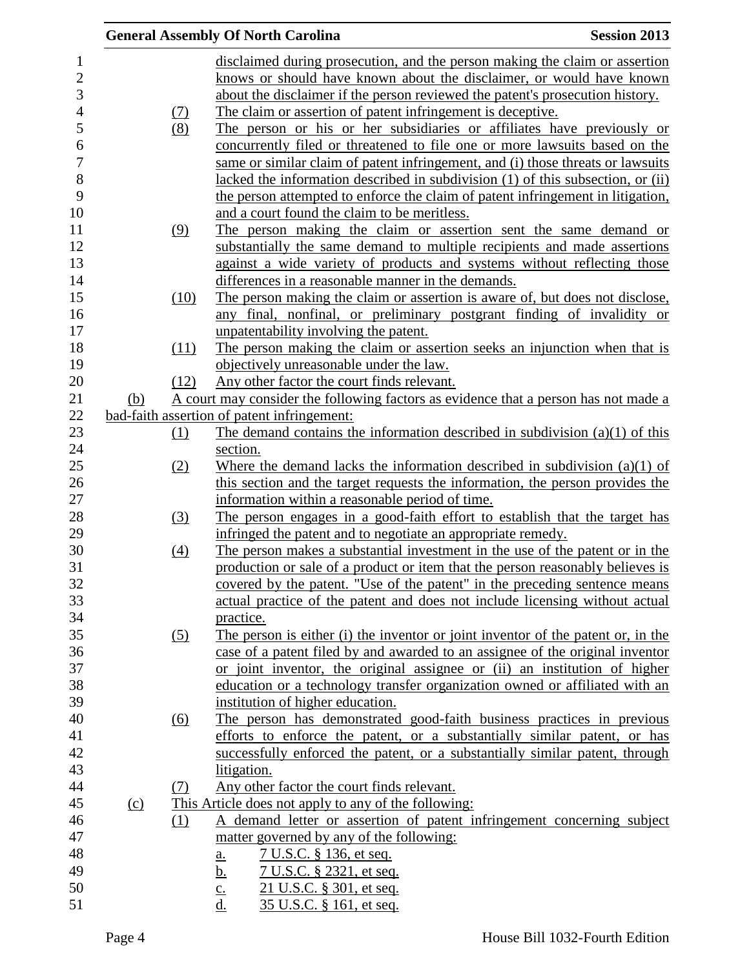|     |                   | <b>General Assembly Of North Carolina</b><br><b>Session 2013</b>                    |  |
|-----|-------------------|-------------------------------------------------------------------------------------|--|
|     |                   | disclaimed during prosecution, and the person making the claim or assertion         |  |
|     |                   | knows or should have known about the disclaimer, or would have known                |  |
|     |                   | about the disclaimer if the person reviewed the patent's prosecution history.       |  |
|     |                   | The claim or assertion of patent infringement is deceptive.                         |  |
|     | $\frac{(7)}{(8)}$ | The person or his or her subsidiaries or affiliates have previously or              |  |
|     |                   |                                                                                     |  |
|     |                   | concurrently filed or threatened to file one or more lawsuits based on the          |  |
|     |                   | same or similar claim of patent infringement, and (i) those threats or lawsuits     |  |
|     |                   | lacked the information described in subdivision (1) of this subsection, or (ii)     |  |
|     |                   | the person attempted to enforce the claim of patent infringement in litigation,     |  |
|     |                   | and a court found the claim to be meritless.                                        |  |
|     | (9)               | The person making the claim or assertion sent the same demand or                    |  |
|     |                   | substantially the same demand to multiple recipients and made assertions            |  |
|     |                   | against a wide variety of products and systems without reflecting those             |  |
|     |                   | differences in a reasonable manner in the demands.                                  |  |
|     | (10)              | The person making the claim or assertion is aware of, but does not disclose,        |  |
|     |                   | any final, nonfinal, or preliminary postgrant finding of invalidity or              |  |
|     |                   | unpatentability involving the patent.                                               |  |
|     | (11)              | The person making the claim or assertion seeks an injunction when that is           |  |
|     |                   | objectively unreasonable under the law.                                             |  |
|     | (12)              | Any other factor the court finds relevant.                                          |  |
| (b) |                   | A court may consider the following factors as evidence that a person has not made a |  |
|     |                   | bad-faith assertion of patent infringement:                                         |  |
|     | (1)               | The demand contains the information described in subdivision $(a)(1)$ of this       |  |
|     |                   | section.                                                                            |  |
|     | (2)               | Where the demand lacks the information described in subdivision $(a)(1)$ of         |  |
|     |                   | this section and the target requests the information, the person provides the       |  |
|     |                   | information within a reasonable period of time.                                     |  |
|     | <u>(3)</u>        | The person engages in a good-faith effort to establish that the target has          |  |
|     |                   | infringed the patent and to negotiate an appropriate remedy.                        |  |
|     | (4)               | The person makes a substantial investment in the use of the patent or in the        |  |
|     |                   | production or sale of a product or item that the person reasonably believes is      |  |
|     |                   | covered by the patent. "Use of the patent" in the preceding sentence means          |  |
|     |                   | actual practice of the patent and does not include licensing without actual         |  |
|     |                   | practice.                                                                           |  |
|     | (5)               | The person is either (i) the inventor or joint inventor of the patent or, in the    |  |
|     |                   | case of a patent filed by and awarded to an assignee of the original inventor       |  |
|     |                   | or joint inventor, the original assignee or (ii) an institution of higher           |  |
|     |                   | education or a technology transfer organization owned or affiliated with an         |  |
|     |                   | institution of higher education.                                                    |  |
|     | <u>(6)</u>        | The person has demonstrated good-faith business practices in previous               |  |
|     |                   | efforts to enforce the patent, or a substantially similar patent, or has            |  |
|     |                   | successfully enforced the patent, or a substantially similar patent, through        |  |
|     |                   | litigation.                                                                         |  |
|     | (7)               | Any other factor the court finds relevant.                                          |  |
| (c) |                   | This Article does not apply to any of the following:                                |  |
|     | (1)               | A demand letter or assertion of patent infringement concerning subject              |  |
|     |                   | matter governed by any of the following:                                            |  |
|     |                   |                                                                                     |  |
|     |                   | <u>7 U.S.C. § 136, et seq.</u><br>$\underline{\mathbf{a}}$ .                        |  |
|     |                   | <u>7 U.S.C. § 2321, et seq.</u><br><u>b.</u>                                        |  |
|     |                   | 21 U.S.C. § 301, et seq.<br>$\underline{c}$ .<br>d.                                 |  |
|     |                   | 35 U.S.C. § 161, et seq.                                                            |  |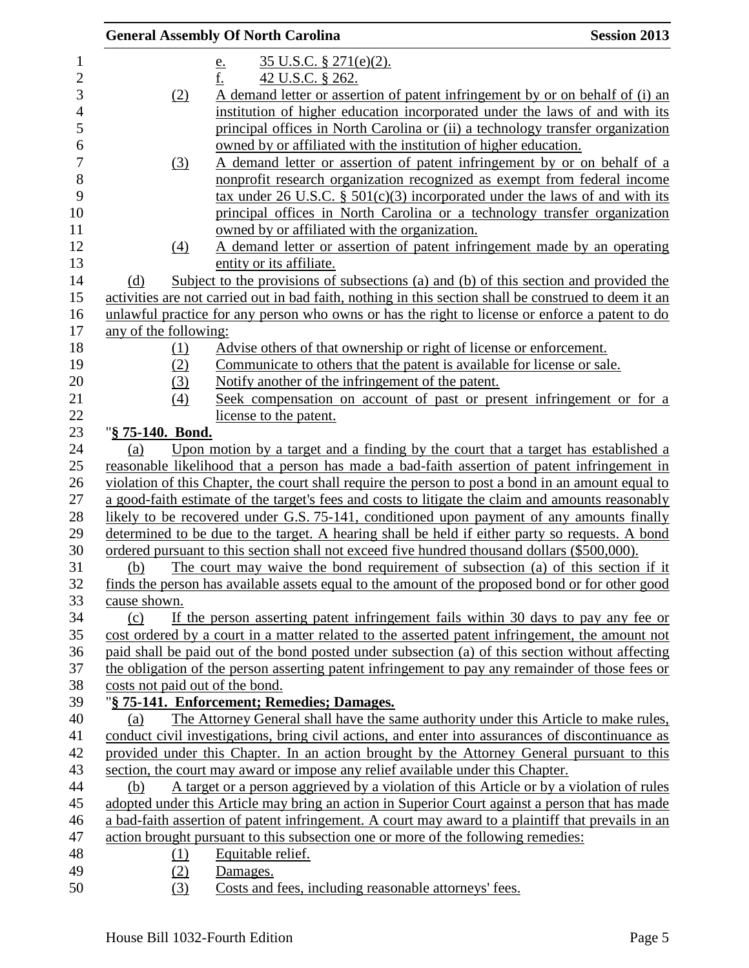|                                 | <b>General Assembly Of North Carolina</b>                                                             | <b>Session 2013</b> |
|---------------------------------|-------------------------------------------------------------------------------------------------------|---------------------|
|                                 | $35$ U.S.C. § 271(e)(2).<br><u>e.</u>                                                                 |                     |
|                                 | f.<br>42 U.S.C. § 262.                                                                                |                     |
| (2)                             | A demand letter or assertion of patent infringement by or on behalf of (i) an                         |                     |
|                                 | institution of higher education incorporated under the laws of and with its                           |                     |
|                                 | principal offices in North Carolina or (ii) a technology transfer organization                        |                     |
|                                 | owned by or affiliated with the institution of higher education.                                      |                     |
| (3)                             | A demand letter or assertion of patent infringement by or on behalf of a                              |                     |
|                                 | nonprofit research organization recognized as exempt from federal income                              |                     |
|                                 | tax under 26 U.S.C. $\S$ 501(c)(3) incorporated under the laws of and with its                        |                     |
|                                 | principal offices in North Carolina or a technology transfer organization                             |                     |
|                                 | owned by or affiliated with the organization.                                                         |                     |
| $\underline{(4)}$               | A demand letter or assertion of patent infringement made by an operating                              |                     |
|                                 | entity or its affiliate.                                                                              |                     |
| (d)                             | Subject to the provisions of subsections (a) and (b) of this section and provided the                 |                     |
|                                 | activities are not carried out in bad faith, nothing in this section shall be construed to deem it an |                     |
|                                 | unlawful practice for any person who owns or has the right to license or enforce a patent to do       |                     |
| any of the following:           |                                                                                                       |                     |
| (1)                             | Advise others of that ownership or right of license or enforcement.                                   |                     |
| (2)                             | Communicate to others that the patent is available for license or sale.                               |                     |
| (3)                             | Notify another of the infringement of the patent.                                                     |                     |
| (4)                             | Seek compensation on account of past or present infringement or for a                                 |                     |
|                                 | license to the patent.                                                                                |                     |
| "§ 75-140. Bond.                |                                                                                                       |                     |
| (a)                             | Upon motion by a target and a finding by the court that a target has established a                    |                     |
|                                 | reasonable likelihood that a person has made a bad-faith assertion of patent infringement in          |                     |
|                                 | violation of this Chapter, the court shall require the person to post a bond in an amount equal to    |                     |
|                                 | a good-faith estimate of the target's fees and costs to litigate the claim and amounts reasonably     |                     |
|                                 | likely to be recovered under G.S. 75-141, conditioned upon payment of any amounts finally             |                     |
|                                 | determined to be due to the target. A hearing shall be held if either party so requests. A bond       |                     |
|                                 | ordered pursuant to this section shall not exceed five hundred thousand dollars (\$500,000).          |                     |
| (b)                             | The court may waive the bond requirement of subsection (a) of this section if it                      |                     |
|                                 | finds the person has available assets equal to the amount of the proposed bond or for other good      |                     |
| cause shown.                    |                                                                                                       |                     |
| (c)                             | If the person asserting patent infringement fails within 30 days to pay any fee or                    |                     |
|                                 | cost ordered by a court in a matter related to the asserted patent infringement, the amount not       |                     |
|                                 | paid shall be paid out of the bond posted under subsection (a) of this section without affecting      |                     |
|                                 | the obligation of the person asserting patent infringement to pay any remainder of those fees or      |                     |
| costs not paid out of the bond. |                                                                                                       |                     |
|                                 | "§ 75-141. Enforcement; Remedies; Damages.                                                            |                     |
| (a)                             | The Attorney General shall have the same authority under this Article to make rules,                  |                     |
|                                 | conduct civil investigations, bring civil actions, and enter into assurances of discontinuance as     |                     |
|                                 | provided under this Chapter. In an action brought by the Attorney General pursuant to this            |                     |
|                                 | section, the court may award or impose any relief available under this Chapter.                       |                     |
| (b)                             | A target or a person aggrieved by a violation of this Article or by a violation of rules              |                     |
|                                 | adopted under this Article may bring an action in Superior Court against a person that has made       |                     |
|                                 | a bad-faith assertion of patent infringement. A court may award to a plaintiff that prevails in an    |                     |
|                                 | action brought pursuant to this subsection one or more of the following remedies:                     |                     |
| <u>(1)</u>                      | Equitable relief.                                                                                     |                     |
| (2)                             | Damages.                                                                                              |                     |
| (3)                             | Costs and fees, including reasonable attorneys' fees.                                                 |                     |